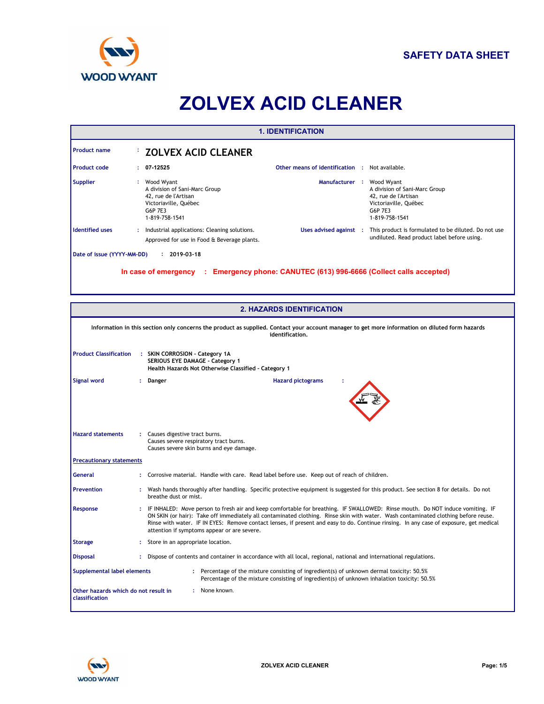

# **ZOLVEX ACID CLEANER**

|                               |                                                                                                                                  | <b>1. IDENTIFICATION</b>                                                                                                                                           |
|-------------------------------|----------------------------------------------------------------------------------------------------------------------------------|--------------------------------------------------------------------------------------------------------------------------------------------------------------------|
| <b>Product name</b>           | <b>ZOLVEX ACID CLEANER</b>                                                                                                       |                                                                                                                                                                    |
| <b>Product code</b>           | 07-12525                                                                                                                         | Other means of identification : Not available.                                                                                                                     |
| <b>Supplier</b>               | : Wood Wyant<br>A division of Sani-Marc Group<br>42, rue de l'Artisan<br>Victoriaville, Québec<br>G6P 7E3<br>1-819-758-1541      | Manufacturer : Wood Wyant<br>A division of Sani-Marc Group<br>42, rue de l'Artisan<br>Victoriaville, Québec<br>G6P 7E3<br>1-819-758-1541                           |
| <b>Identified uses</b>        | : Industrial applications: Cleaning solutions.<br>Approved for use in Food & Beverage plants.                                    | Uses advised against :<br>This product is formulated to be diluted. Do not use<br>undiluted. Read product label before using.                                      |
|                               |                                                                                                                                  | In case of emergency : Emergency phone: CANUTEC (613) 996-6666 (Collect calls accepted)                                                                            |
|                               |                                                                                                                                  | <b>2. HAZARDS IDENTIFICATION</b>                                                                                                                                   |
|                               |                                                                                                                                  | Information in this section only concerns the product as supplied. Contact your account manager to get more information on diluted form hazards<br>identification. |
| <b>Product Classification</b> | : SKIN CORROSION - Category 1A<br><b>SERIOUS EYE DAMAGE - Category 1</b><br>Health Hazards Not Otherwise Classified - Category 1 |                                                                                                                                                                    |
| Signal word                   | Danger                                                                                                                           | <b>Hazard pictograms</b>                                                                                                                                           |

|                                                        | Information in this section only concerns the product as supplied. Contact your account manager to get more information on diluted form hazards<br>identification.                                                                                                                                                                                                                                                                                            |
|--------------------------------------------------------|---------------------------------------------------------------------------------------------------------------------------------------------------------------------------------------------------------------------------------------------------------------------------------------------------------------------------------------------------------------------------------------------------------------------------------------------------------------|
| <b>Product Classification</b>                          | : SKIN CORROSION - Category 1A<br><b>SERIOUS EYE DAMAGE - Category 1</b><br>Health Hazards Not Otherwise Classified - Category 1                                                                                                                                                                                                                                                                                                                              |
| <b>Signal word</b>                                     | <b>Hazard pictograms</b><br>Danger                                                                                                                                                                                                                                                                                                                                                                                                                            |
| <b>Hazard statements</b>                               | : Causes digestive tract burns.<br>Causes severe respiratory tract burns.<br>Causes severe skin burns and eye damage.                                                                                                                                                                                                                                                                                                                                         |
| <b>Precautionary statements</b>                        |                                                                                                                                                                                                                                                                                                                                                                                                                                                               |
| <b>General</b>                                         | Corrosive material. Handle with care. Read label before use. Keep out of reach of children.                                                                                                                                                                                                                                                                                                                                                                   |
| <b>Prevention</b>                                      | Wash hands thoroughly after handling. Specific protective equipment is suggested for this product. See section 8 for details. Do not<br>breathe dust or mist.                                                                                                                                                                                                                                                                                                 |
| Response                                               | IF INHALED: Move person to fresh air and keep comfortable for breathing. IF SWALLOWED: Rinse mouth. Do NOT induce vomiting. IF<br>ON SKIN (or hair): Take off immediately all contaminated clothing. Rinse skin with water. Wash contaminated clothing before reuse.<br>Rinse with water. IF IN EYES: Remove contact lenses, if present and easy to do. Continue rinsing. In any case of exposure, get medical<br>attention if symptoms appear or are severe. |
| <b>Storage</b>                                         | Store in an appropriate location.                                                                                                                                                                                                                                                                                                                                                                                                                             |
| <b>Disposal</b>                                        | Dispose of contents and container in accordance with all local, regional, national and international regulations.                                                                                                                                                                                                                                                                                                                                             |
| <b>Supplemental label elements</b>                     | : Percentage of the mixture consisting of ingredient(s) of unknown dermal toxicity: 50.5%<br>Percentage of the mixture consisting of ingredient(s) of unknown inhalation toxicity: 50.5%                                                                                                                                                                                                                                                                      |
| Other hazards which do not result in<br>classification | : None known.                                                                                                                                                                                                                                                                                                                                                                                                                                                 |

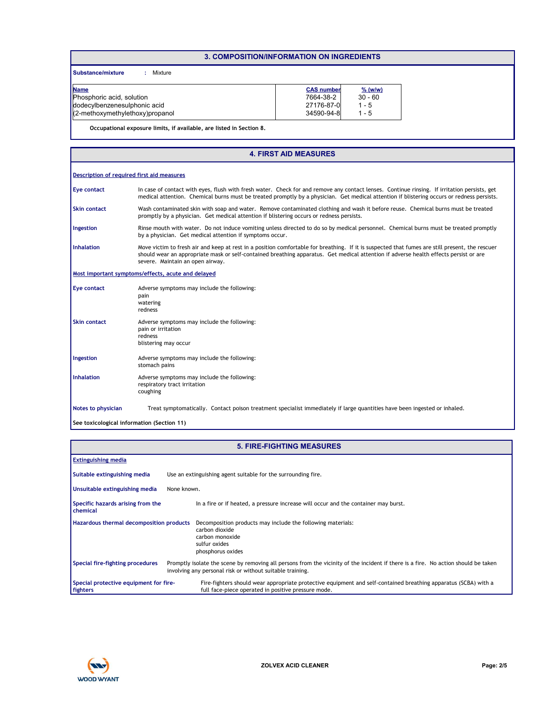# **3. COMPOSITION/INFORMATION ON INGREDIENTS**

**Substance/mixture :** Mixture

| <b>Name</b>                     | <b>CAS number</b> | $%$ (w/w) |
|---------------------------------|-------------------|-----------|
| Phosphoric acid, solution       | 7664-38-2         | $30 - 60$ |
| dodecylbenzenesulphonic acid    | 27176-87-0        | 1 - 5     |
| (2-methoxymethylethoxy)propanol | 34590-94-8        | l - 5     |

**Occupational exposure limits, if available, are listed in Section 8.**

#### Rinse mouth with water. Do not induce vomiting unless directed to do so by medical personnel. Chemical burns must be treated promptly by a physician. Get medical attention if symptoms occur. In case of contact with eyes, flush with fresh water. Check for and remove any contact lenses. Continue rinsing. If irritation persists, get medical attention. Chemical burns must be treated promptly by a physician. Get medical attention if blistering occurs or redness persists. Wash contaminated skin with soap and water. Remove contaminated clothing and wash it before reuse. Chemical burns must be treated promptly by a physician. Get medical attention if blistering occurs or redness persists. Move victim to fresh air and keep at rest in a position comfortable for breathing. If it is suspected that fumes are still present, the rescuer should wear an appropriate mask or self-contained breathing apparatus. Get medical attention if adverse health effects persist or are severe. Maintain an open airway. **Eye contact Skin contact Inhalation Ingestion Notes to physician** Treat symptomatically. Contact poison treatment specialist immediately if large quantities have been ingested or inhaled. **Description of required first aid measures Most important symptoms/effects, acute and delayed Skin contact Ingestion Inhalation** Adverse symptoms may include the following: respiratory tract irritation coughing Adverse symptoms may include the following: stomach pains Adverse symptoms may include the following: pain or irritation .<br>redness blistering may occur **Eye contact** Adverse symptoms may include the following: pain .<br>watering redness **See toxicological information (Section 11) 4. FIRST AID MEASURES**

|                                                      | <b>5. FIRE-FIGHTING MEASURES</b>                                                                                                                                                                |
|------------------------------------------------------|-------------------------------------------------------------------------------------------------------------------------------------------------------------------------------------------------|
| <b>Extinguishing media</b>                           |                                                                                                                                                                                                 |
| Suitable extinguishing media                         | Use an extinguishing agent suitable for the surrounding fire.                                                                                                                                   |
| Unsuitable extinguishing media                       | None known.                                                                                                                                                                                     |
| Specific hazards arising from the<br><b>chemical</b> | In a fire or if heated, a pressure increase will occur and the container may burst.                                                                                                             |
| Hazardous thermal decomposition products             | Decomposition products may include the following materials:<br>carbon dioxide<br>carbon monoxide<br>sulfur oxides<br>phosphorus oxides                                                          |
| Special fire-fighting procedures                     | Promptly isolate the scene by removing all persons from the vicinity of the incident if there is a fire. No action should be taken<br>involving any personal risk or without suitable training. |
| Special protective equipment for fire-<br>fighters   | Fire-fighters should wear appropriate protective equipment and self-contained breathing apparatus (SCBA) with a<br>full face-piece operated in positive pressure mode.                          |

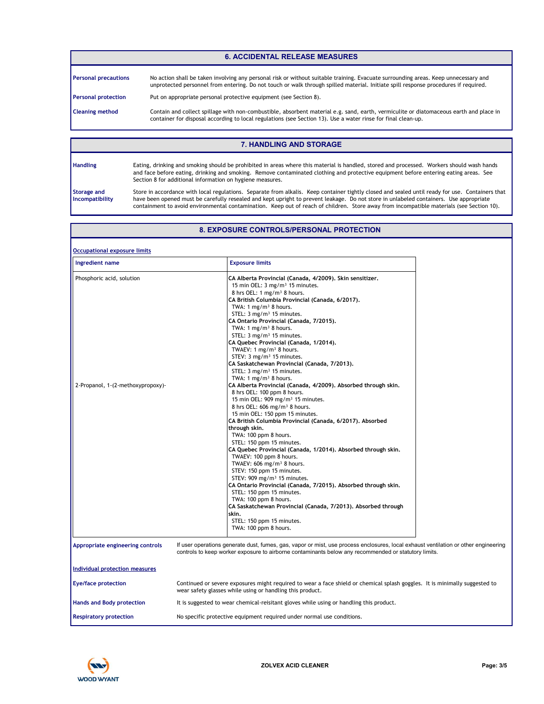# **6. ACCIDENTAL RELEASE MEASURES**

| <b>Personal precautions</b> | No action shall be taken involving any personal risk or without suitable training. Evacuate surrounding areas. Keep unnecessary and<br>unprotected personnel from entering. Do not touch or walk through spilled material. Initiate spill response procedures if required. |
|-----------------------------|----------------------------------------------------------------------------------------------------------------------------------------------------------------------------------------------------------------------------------------------------------------------------|
| <b>Personal protection</b>  | Put on appropriate personal protective equipment (see Section 8).                                                                                                                                                                                                          |
| <b>Cleaning method</b>      | Contain and collect spillage with non-combustible, absorbent material e.g. sand, earth, vermiculite or diatomaceous earth and place in<br>container for disposal according to local regulations (see Section 13). Use a water rinse for final clean-up.                    |

# **7. HANDLING AND STORAGE**

Eating, drinking and smoking should be prohibited in areas where this material is handled, stored and processed. Workers should wash hands and face before eating, drinking and smoking. Remove contaminated clothing and protective equipment before entering eating areas. See Section 8 for additional information on hygiene measures.

**Storage and Incompatibility**

**Handling**

Store in accordance with local regulations. Separate from alkalis. Keep container tightly closed and sealed until ready for use. Containers that have been opened must be carefully resealed and kept upright to prevent leakage. Do not store in unlabeled containers. Use appropriate containment to avoid environmental contamination. Keep out of reach of children. Store away from incompatible materials (see Section 10).

# **8. EXPOSURE CONTROLS/PERSONAL PROTECTION**

| <b>Occupational exposure limits</b>                            |                                                                                                                                                                                                                                                                                                                                                                                                                                                                                                                                                                                                                                                                                                                                                                                                                                                                                                                                                                                                                                                                                                                                                                                                                                                                                                                                                                                                                                                                                                                  |
|----------------------------------------------------------------|------------------------------------------------------------------------------------------------------------------------------------------------------------------------------------------------------------------------------------------------------------------------------------------------------------------------------------------------------------------------------------------------------------------------------------------------------------------------------------------------------------------------------------------------------------------------------------------------------------------------------------------------------------------------------------------------------------------------------------------------------------------------------------------------------------------------------------------------------------------------------------------------------------------------------------------------------------------------------------------------------------------------------------------------------------------------------------------------------------------------------------------------------------------------------------------------------------------------------------------------------------------------------------------------------------------------------------------------------------------------------------------------------------------------------------------------------------------------------------------------------------------|
| Ingredient name                                                | <b>Exposure limits</b>                                                                                                                                                                                                                                                                                                                                                                                                                                                                                                                                                                                                                                                                                                                                                                                                                                                                                                                                                                                                                                                                                                                                                                                                                                                                                                                                                                                                                                                                                           |
| Phosphoric acid, solution<br>2-Propanol, 1-(2-methoxypropoxy)- | CA Alberta Provincial (Canada, 4/2009). Skin sensitizer.<br>15 min OEL: $3 \text{ mg/m}^3$ 15 minutes.<br>8 hrs OEL: 1 mg/m <sup>3</sup> 8 hours.<br>CA British Columbia Provincial (Canada, 6/2017).<br>TWA: 1 mg/m <sup>3</sup> 8 hours.<br>STEL: 3 mg/m <sup>3</sup> 15 minutes.<br>CA Ontario Provincial (Canada, 7/2015).<br>TWA: $1 \text{ mg/m}^3$ 8 hours.<br>STEL: 3 mg/m <sup>3</sup> 15 minutes.<br>CA Quebec Provincial (Canada, 1/2014).<br>TWAEV: 1 mg/m <sup>3</sup> 8 hours.<br>STEV: 3 mg/m <sup>3</sup> 15 minutes.<br>CA Saskatchewan Provincial (Canada, 7/2013).<br>STEL: 3 mg/m <sup>3</sup> 15 minutes.<br>TWA: 1 mg/m <sup>3</sup> 8 hours.<br>CA Alberta Provincial (Canada, 4/2009). Absorbed through skin.<br>8 hrs OEL: 100 ppm 8 hours.<br>15 min OEL: 909 mg/m <sup>3</sup> 15 minutes.<br>8 hrs OEL: 606 mg/m <sup>3</sup> 8 hours.<br>15 min OEL: 150 ppm 15 minutes.<br>CA British Columbia Provincial (Canada, 6/2017), Absorbed<br>through skin.<br>TWA: 100 ppm 8 hours.<br>STEL: 150 ppm 15 minutes.<br>CA Quebec Provincial (Canada, 1/2014). Absorbed through skin.<br>TWAEV: 100 ppm 8 hours.<br>TWAEV: $606$ mg/m <sup>3</sup> 8 hours.<br>STEV: 150 ppm 15 minutes.<br>STEV: 909 mg/m <sup>3</sup> 15 minutes.<br>CA Ontario Provincial (Canada, 7/2015). Absorbed through skin.<br>STEL: 150 ppm 15 minutes.<br>TWA: 100 ppm 8 hours.<br>CA Saskatchewan Provincial (Canada, 7/2013). Absorbed through<br>skin.<br>STEL: 150 ppm 15 minutes.<br>TWA: 100 ppm 8 hours. |
| Appropriate engineering controls                               | If user operations generate dust, fumes, gas, vapor or mist, use process enclosures, local exhaust ventilation or other engineering<br>controls to keep worker exposure to airborne contaminants below any recommended or statutory limits.                                                                                                                                                                                                                                                                                                                                                                                                                                                                                                                                                                                                                                                                                                                                                                                                                                                                                                                                                                                                                                                                                                                                                                                                                                                                      |
| Individual protection measures                                 |                                                                                                                                                                                                                                                                                                                                                                                                                                                                                                                                                                                                                                                                                                                                                                                                                                                                                                                                                                                                                                                                                                                                                                                                                                                                                                                                                                                                                                                                                                                  |
| <b>Eye/face protection</b>                                     | Continued or severe exposures might required to wear a face shield or chemical splash goggles. It is minimally suggested to<br>wear safety glasses while using or handling this product.                                                                                                                                                                                                                                                                                                                                                                                                                                                                                                                                                                                                                                                                                                                                                                                                                                                                                                                                                                                                                                                                                                                                                                                                                                                                                                                         |
| <b>Hands and Body protection</b>                               | It is suggested to wear chemical-reisitant gloves while using or handling this product.                                                                                                                                                                                                                                                                                                                                                                                                                                                                                                                                                                                                                                                                                                                                                                                                                                                                                                                                                                                                                                                                                                                                                                                                                                                                                                                                                                                                                          |
| <b>Respiratory protection</b>                                  | No specific protective equipment required under normal use conditions.                                                                                                                                                                                                                                                                                                                                                                                                                                                                                                                                                                                                                                                                                                                                                                                                                                                                                                                                                                                                                                                                                                                                                                                                                                                                                                                                                                                                                                           |

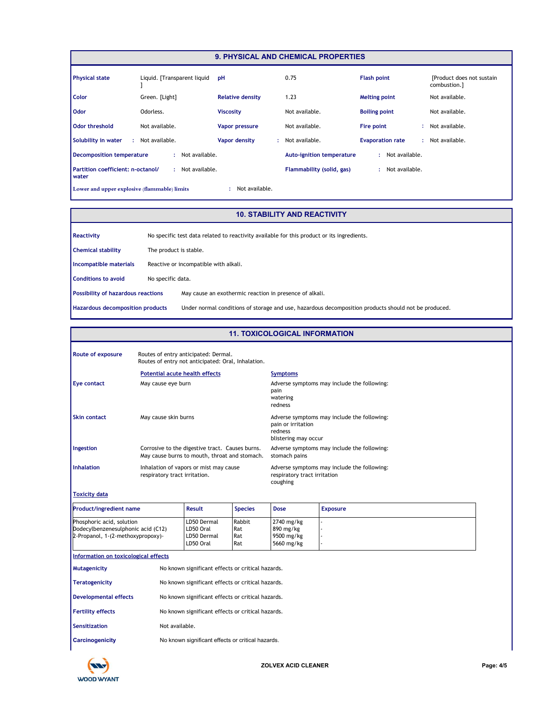|                                              |                             |                         | <b>9. PHYSICAL AND CHEMICAL PROPERTIES</b> |                         |                                           |
|----------------------------------------------|-----------------------------|-------------------------|--------------------------------------------|-------------------------|-------------------------------------------|
| <b>Physical state</b>                        | Liquid. [Transparent liquid | pH                      | 0.75                                       | <b>Flash point</b>      | [Product does not sustain<br>combustion.] |
| <b>Color</b>                                 | Green. [Light]              | <b>Relative density</b> | 1.23                                       | <b>Melting point</b>    | Not available.                            |
| <b>Odor</b>                                  | Odorless.                   | <b>Viscosity</b>        | Not available.                             | <b>Boiling point</b>    | Not available.                            |
| <b>Odor threshold</b>                        | Not available.              | <b>Vapor pressure</b>   | Not available.                             | Fire point              | : Not available.                          |
| Solubility in water                          | : Not available.            | Vapor density           | Not available.<br>÷.                       | <b>Evaporation rate</b> | : Not available.                          |
| <b>Decomposition temperature</b>             | : Not available.            |                         | <b>Auto-ignition temperature</b>           | : Not available.        |                                           |
| Partition coefficient: n-octanol/<br>water   | Not available.              |                         | Flammability (solid, gas)                  | Not available.<br>÷     |                                           |
| Lower and upper explosive (flammable) limits |                             | Not available.          |                                            |                         |                                           |

# **10. STABILITY AND REACTIVITY**

| Reactivity                                |                        | No specific test data related to reactivity available for this product or its ingredients.           |
|-------------------------------------------|------------------------|------------------------------------------------------------------------------------------------------|
| <b>Chemical stability</b>                 | The product is stable. |                                                                                                      |
| Incompatible materials                    |                        | Reactive or incompatible with alkali.                                                                |
| <b>Conditions to avoid</b>                | No specific data.      |                                                                                                      |
| <b>Possibility of hazardous reactions</b> |                        | May cause an exothermic reaction in presence of alkali.                                              |
| Hazardous decomposition products          |                        | Under normal conditions of storage and use, hazardous decomposition products should not be produced. |

# **11. TOXICOLOGICAL INFORMATION**

| Route of exposure                                                                                    |                                       | Routes of entry anticipated: Dermal.<br>Routes of entry not anticipated: Oral, Inhalation.       |                             |                                                       |                                             |
|------------------------------------------------------------------------------------------------------|---------------------------------------|--------------------------------------------------------------------------------------------------|-----------------------------|-------------------------------------------------------|---------------------------------------------|
|                                                                                                      | <b>Potential acute health effects</b> |                                                                                                  |                             | <b>Symptoms</b>                                       |                                             |
| Eye contact                                                                                          | May cause eye burn                    |                                                                                                  |                             | pain<br>watering<br>redness                           | Adverse symptoms may include the following: |
| <b>Skin contact</b>                                                                                  | May cause skin burns                  |                                                                                                  |                             | pain or irritation<br>redness<br>blistering may occur | Adverse symptoms may include the following: |
| Ingestion                                                                                            |                                       | Corrosive to the digestive tract. Causes burns.<br>May cause burns to mouth, throat and stomach. |                             | stomach pains                                         | Adverse symptoms may include the following: |
| <b>Inhalation</b>                                                                                    | respiratory tract irritation.         | Inhalation of vapors or mist may cause                                                           |                             | respiratory tract irritation<br>coughing              | Adverse symptoms may include the following: |
| <b>Toxicity data</b>                                                                                 |                                       |                                                                                                  |                             |                                                       |                                             |
| <b>Product/ingredient name</b>                                                                       |                                       | <b>Result</b>                                                                                    | <b>Species</b>              | <b>Dose</b>                                           | <b>Exposure</b>                             |
| Phosphoric acid, solution<br>Dodecylbenzenesulphonic acid (C12)<br>2-Propanol, 1-(2-methoxypropoxy)- |                                       | LD50 Dermal<br>LD50 Oral<br>LD50 Dermal<br>LD50 Oral                                             | Rabbit<br>Rat<br>Rat<br>Rat | 2740 mg/kg<br>890 mg/kg<br>9500 mg/kg<br>5660 mg/kg   |                                             |
| Information on toxicological effects                                                                 |                                       |                                                                                                  |                             |                                                       |                                             |
| <b>Mutagenicity</b>                                                                                  |                                       | No known significant effects or critical hazards.                                                |                             |                                                       |                                             |
| <b>Teratogenicity</b>                                                                                |                                       | No known significant effects or critical hazards.                                                |                             |                                                       |                                             |
| <b>Developmental effects</b>                                                                         |                                       | No known significant effects or critical hazards.                                                |                             |                                                       |                                             |
| <b>Fertility effects</b>                                                                             |                                       | No known significant effects or critical hazards.                                                |                             |                                                       |                                             |
| <b>Sensitization</b>                                                                                 | Not available.                        |                                                                                                  |                             |                                                       |                                             |
| <b>Carcinogenicity</b>                                                                               |                                       | No known significant effects or critical hazards.                                                |                             |                                                       |                                             |